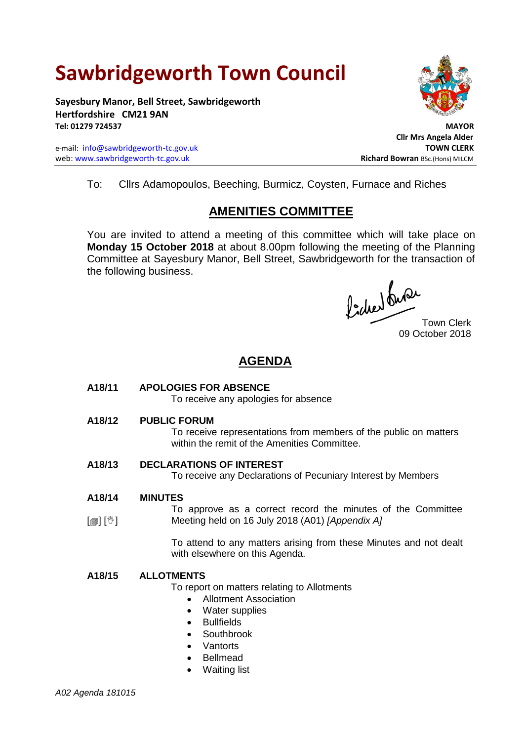# **Sawbridgeworth Town Council**

**Sayesbury Manor, Bell Street, Sawbridgeworth Hertfordshire CM21 9AN Tel: 01279 724537 MAYOR**

e-mail: [info@sawbridgeworth-tc.gov.uk](mailto:info@sawbridgeworth-tc.gov.uk) **TOWN CLERK** web: www.sawbridgeworth-tc.gov.uk **Richard Bowran** BSc.(Hons) MILCM



 **Cllr Mrs Angela Alder**

To: Cllrs Adamopoulos, Beeching, Burmicz, Coysten, Furnace and Riches

# **AMENITIES COMMITTEE**

You are invited to attend a meeting of this committee which will take place on **Monday 15 October 2018** at about 8.00pm following the meeting of the Planning Committee at Sayesbury Manor, Bell Street, Sawbridgeworth for the transaction of the following business.

fided ture

09 October 2018

# **AGENDA**

**A18/11 APOLOGIES FOR ABSENCE**

To receive any apologies for absence

**A18/12 PUBLIC FORUM**

To receive representations from members of the public on matters within the remit of the Amenities Committee.

**A18/13 DECLARATIONS OF INTEREST**

To receive any Declarations of Pecuniary Interest by Members

- **A18/14 MINUTES**
- $\lceil$  [ $\mathbb{I}$ ]  $\lceil \mathbb{V} \rceil$ To approve as a correct record the minutes of the Committee Meeting held on 16 July 2018 (A01) *[Appendix A]*

To attend to any matters arising from these Minutes and not dealt with elsewhere on this Agenda.

## **A18/15 ALLOTMENTS**

To report on matters relating to Allotments

- Allotment Association
- Water supplies
- Bullfields
- Southbrook
- Vantorts
- Bellmead
- Waiting list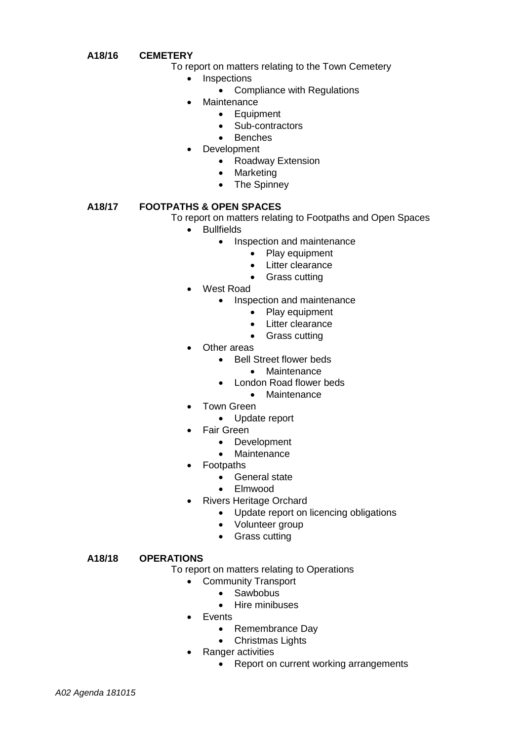#### **A18/16 CEMETERY**

- To report on matters relating to the Town Cemetery
	- Inspections
		- Compliance with Regulations
		- Maintenance
			- Equipment
			- Sub-contractors
			- Benches
	- Development
		- Roadway Extension
		- Marketing
		- The Spinney

## **A18/17 FOOTPATHS & OPEN SPACES**

To report on matters relating to Footpaths and Open Spaces

- **•** Bullfields
	- Inspection and maintenance
		- Play equipment
		- Litter clearance
		- Grass cutting
- West Road
	- Inspection and maintenance
		- Play equipment
		- Litter clearance
		- Grass cutting
- Other areas
	- Bell Street flower beds
		- Maintenance
		- London Road flower beds
			- Maintenance
- Town Green
	- Update report
- Fair Green
	- Development
		- Maintenance
- Footpaths
	- General state
	- Elmwood
- Rivers Heritage Orchard
	- Update report on licencing obligations
	- Volunteer group
	- Grass cutting

#### **A18/18 OPERATIONS**

To report on matters relating to Operations

- Community Transport
	- Sawbobus
	- Hire minibuses
- Events
	- Remembrance Day
	- Christmas Lights
- Ranger activities
	- Report on current working arrangements